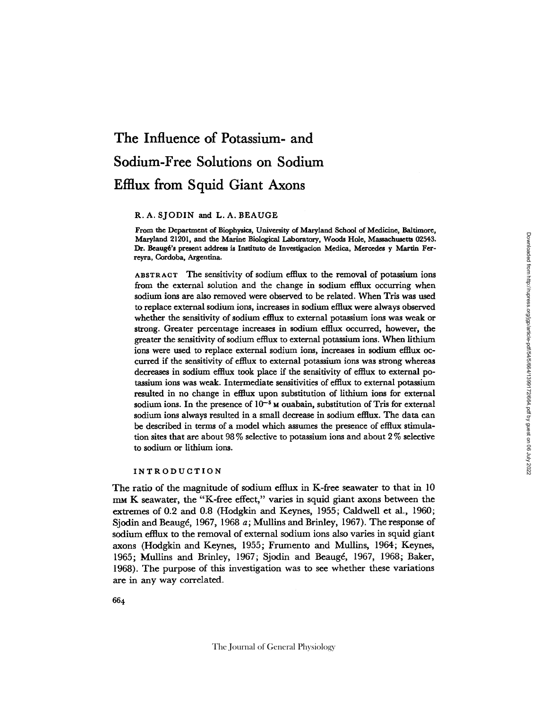# **The Influence of Potassium- and Sodium-Free Solutions on Sodium Emux from Squid Giant Axons**

#### R. A. SJODIN and L. A. BEAUGE

From the Department of Biophysics, University of Maryland School of Medicine, Baltimore, Maryland 21201, and the Marine Biological Laboratory, Woods Hole, Massachusetts 02543. Dr. Beaugé's present address is Instituto de Investigacion Medica, Mercedes y Martin Ferrcyra, Cordoba, Argentina.

ABSTRACT The sensitivity of sodium efflux to the removal of potassium ions from the external solution and the change in sodium efflux occurring when sodium ions are also removed were observed to be related. When Tris was used to replace cxtcrnal sodium ions, increases in sodium effiux were always observed whether the sensitivity of sodium cfflux to external potassium ions was weak or strong. Greater percentage increases in sodium cfflux occurrccl, however, the greater the sensitivity of sodium effiux to external potassium ions. When lithium ions were used to replace external sodium ions, increases in sodium efliux occurred if the sensitivity of cfliux to external potassium ions was strong whcrcas decreases in sodium efflux took place if the sensitivity of efflux to external potassium ions was weak. Intermediate sensitivities of efflux to external potassium resulted in no change in cfliux upon substitution of lithium ions for external sodium ions. In the presence of  $10<sup>-5</sup>$  M ouabain, substitution of Tris for external sodium ions always resuhed in a small decrease in sodium efflux. Thc data can be described in terms of a model which assumes the presence of efflux stimulation sites that arc about 98 % selective to potassium ions and about 2 % selective to sodium or lithium ions.

# INTRODUCTION

The ratio of the magnitude of sodium efflux in K-free seawater to that in 10 mm K seawater, the "K-free effect," varies in squid giant axons between the extremes of 0.2 and 0.8 (Hodgkin and Keynes, 1955; Caldwell et al., 1960; Sjodin and Beaugé, 1967, 1968  $\alpha$ ; Mullins and Brinley, 1967). The response of sodium efflux to the removal of external sodium ions also varies in squid giant axons (Hodgkin and Keynes, 1955; Frumento and Mullins, 1964; Keynes, 1965; Mullins and Brinley, 1967; Sjodin and Beaugé, 1967, 1968; Baker, 1968). The purpose of this investigation was to see whether these variations are in any way correlated.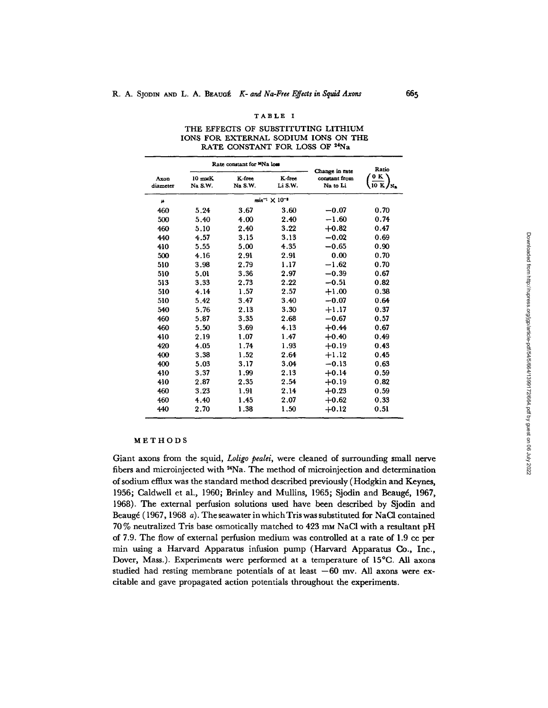#### TABLE I

# THE EFFECTS OF SUBSTITUTING LITHIUM IONS FOR EXTERNAL SODIUM IONS ON THE RATE CONSTANT FOR LOSS OF <sup>24</sup>Na

|                  |                   | Rate constant for <sup>M</sup> Na loss |                           | Ratio                                       |                |
|------------------|-------------------|----------------------------------------|---------------------------|---------------------------------------------|----------------|
| Axon<br>diameter | 10 mxK<br>Na S.W. | K-free<br>Na S.W.                      | K-free<br>Li S.W.         | Change in rate<br>constant from<br>Na to Li | 0 K<br>10 K/Na |
| $\pmb{\mu}$      |                   |                                        | $min^{-1} \times 10^{-3}$ |                                             |                |
| 460              | 5.24              | 3.67                                   | 3.60                      | $-0.07$                                     | 0.70           |
| 500              | 5.40              | 4.00                                   | 2.40                      | $-1.60$                                     | 0.74           |
| 460              | 5.10              | 2.40                                   | 3.22                      | $+0.82$                                     | 0.47           |
| 440              | 4.57              | 3.15                                   | 3.13                      | $-0.02$                                     | 0.69           |
| 410              | 5.55              | 5.00                                   | 4.35                      | $-0.65$                                     | 0.90           |
| 500              | 4.16              | 2.91                                   | 2.91                      | 0.00                                        | 0.70           |
| 510              | 3.98              | 2.79                                   | 1.17                      | $-1.62$                                     | 0.70           |
| 510              | 5.01              | 3.36                                   | 2.97                      | $-0.39$                                     | 0.67           |
| 513              | 3.33              | 2.73                                   | 2.22                      | $-0.51$                                     | 0.82           |
| 510              | 4.14              | 1.57                                   | 2.57                      | $+1.00$                                     | 0.38           |
| 510              | 5.42              | 3.47                                   | 3.40                      | $-0.07$                                     | 0.64           |
| 540              | 5.76              | 2.13                                   | 3.30                      | +1.17                                       | 0.37           |
| 460              | 5.87              | 3.35                                   | 2.68                      | $-0.67$                                     | 0.57           |
| 460              | 5.50              | 3.69                                   | 4.13                      | $+0.44$                                     | 0.67           |
| 410              | 2.19              | 1.07                                   | 1.47                      | $+0.40$                                     | 0.49           |
| 420              | 4.05              | 1.74                                   | 1.93                      | $+0.19$                                     | 0.43           |
| 400              | 3.38              | 1.52                                   | 2.64                      | $+1.12$                                     | 0.45           |
| 400              | 5.03              | 3.17                                   | 3.04                      | $-0.13$                                     | 0.63           |
| 410              | 3.37              | 1.99                                   | 2.13                      | $+0.14$                                     | 0.59           |
| 410              | 2.87              | 2.35                                   | 2.54                      | $+0.19$                                     | 0.82           |
| 460              | 3.23              | 1.91                                   | 2.14                      | $+0.23$                                     | 0.59           |
| 460              | 4.40              | 1.45                                   | 2.07                      | $+0.62$                                     | 0.33           |
| 440              | 2.70              | 1.38                                   | 1.50                      | $+0.12$                                     | 0.51           |

#### METHODS

Giant axons from the squid, *Loligo pealei,* were cleaned of surrounding small nerve fibers and microinjected with <sup>24</sup>Na. The method of microinjection and determination of sodium efflux was the standard method described previously (Hodgkin and Keynes, 1956; Caldwell et al., 1960; Brinley and Mullins, 1965; Sjodin and Beaugé, 1967, 1968). The external perfusion solutions used have been described by Sjodin and Beaugé (1967, 1968 a). The seawater in which Tris was substituted for NaCl contained 70% neutralized Tris base osmotically matched to 423 mm NaCl with a resultant pH of 7.9. The flow of external perfusion medium was controlled at a rate of 1.9 cc per min using a Harvard Apparatus infusion pump (Harvard Apparatus Co., Inc., Dover, Mass.). Experiments were performed at a temperature of 15°C. All axons studied had resting membrane potentials of at least  $-60$  mv. All axons were excitable and gave propagated action potentials throughout the experiments.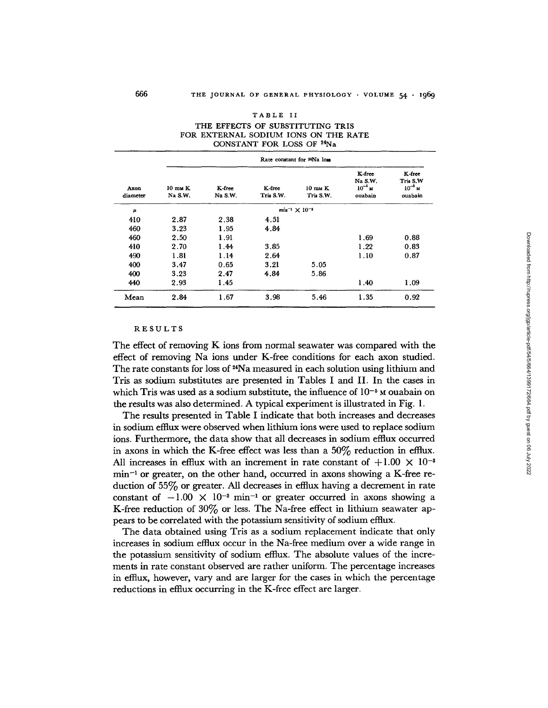| Axon<br>diameter | Rate constant for <sup>94</sup> Na loss |                   |                     |                      |                                             |                                               |  |  |
|------------------|-----------------------------------------|-------------------|---------------------|----------------------|---------------------------------------------|-----------------------------------------------|--|--|
|                  | $10 \text{ mW K}$<br>Na S.W.            | K free<br>Na S.W. | K free<br>Tris S.W. | 10 mm K<br>Tris S.W. | K-free<br>Na S.W.<br>$10^{-5}$ M<br>ouabain | K free<br>Tris S.W.<br>$10^{-5}$ м<br>ouabain |  |  |
| μ                | $min^{-1} \times 10^{-3}$               |                   |                     |                      |                                             |                                               |  |  |
| 410              | 2.87                                    | 2.38              | 4.51                |                      |                                             |                                               |  |  |
| 460              | 3.23                                    | 1.95              | 4.84                |                      |                                             |                                               |  |  |
| 460              | 2.50                                    | 1.91              |                     |                      | 1.69                                        | 0.88                                          |  |  |
| 410              | 2.70                                    | 1.44              | 3.85                |                      | 1.22                                        | 0.83                                          |  |  |
| 490              | 1.81                                    | 1.14              | 2.64                |                      | 1.10                                        | 0.87                                          |  |  |
| 400              | 3.47                                    | 0.65              | 3.21                | 5.05                 |                                             |                                               |  |  |
| 400              | 3.23                                    | 2.47              | 4.84                | 5.86                 |                                             |                                               |  |  |
| 440              | 2.93                                    | 1.45              |                     |                      | 1.40                                        | 1.09                                          |  |  |
| Mean             | 2.84                                    | 1.67              | 3.98                | 5.46                 | 1.35                                        | 0.92                                          |  |  |

#### TABLE II THE EFFECTS OF SUBSTITUTING TRIS FOR EXTERNAL SODIUM IONS ON THE RATE CONSTANT FOR LOSS OF 24Na

#### RESULTS

The effect of removing K ions from normal seawater was compared with the effect of removing Na ions under K-free conditions for each axon studied. The rate constants for loss of <sup>24</sup>Na measured in each solution using lithium and Tris as sodium substitutes are presented in Tables I and II. In the cases in which Tris was used as a sodium substitute, the influence of  $10^{-5}$  M ouabain on the results was also determined. A typical experiment is illustrated in Fig. 1.

The results presented in Table I indicate that both increases and decreases in sodium efflux were observed when lithium ions were used to replace sodium ions. Furthermore, the data show that all decreases in sodium efflux occurred in axons in which the K-free effect was less than a  $50\%$  reduction in efflux. All increases in efflux with an increment in rate constant of  $+1.00 \times 10^{-3}$  $\min^{-1}$  or greater, on the other hand, occurred in axons showing a K-free reduction of  $55\%$  or greater. All decreases in efflux having a decrement in rate constant of  $-1.00 \times 10^{-8}$  min<sup>-1</sup> or greater occurred in axons showing a K-free reduction of  $30\%$  or less. The Na-free effect in lithium seawater appears to be correlated with the potassium scnsitivity of sodium efflux.

The data obtained using Tris as a sodium replacement indicate that only increases in sodium efflux occur in the Na-free medium over a wide range in the potassium sensitivity of sodium efflux. The absolute values of the increments in rate constant observed are rather uniform. The percentage increases in efflux, however, vary and are larger for the cases in which the percentage reductions in effiux occurring in the K-free effect are larger.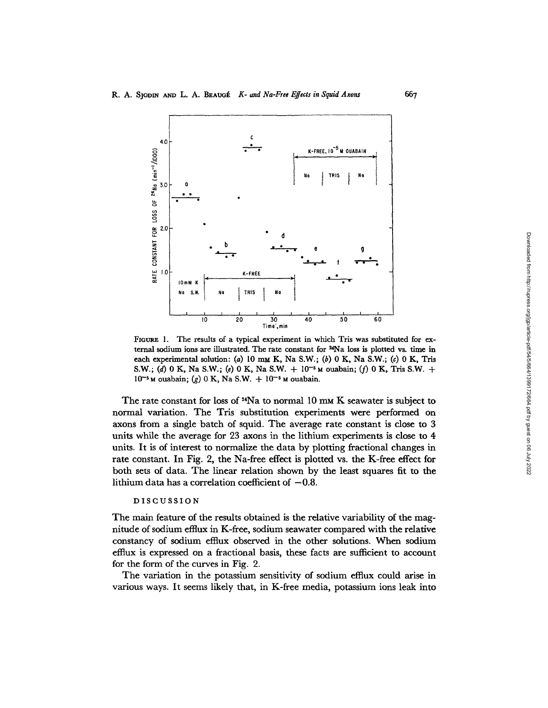

FIGURE 1. The results of a typical experiment in which Tris was substituted for external sodium ions are illustrated. The rate constant for <sup>24</sup>Na loss is plotted vs. time in each experimental solution: (a) 10 mm K, Na S.W.; (b) 0 K, Na S.W.; (c) 0 K, Tris S.W.; (d) 0 K, Na S.W.; (e) 0 K, Na S.W. +  $10^{-5}$  M ouabain; (f) 0 K, Tris S.W. +  $10^{-5}$  M ouabain; (g) 0 K, Na S.W. +  $10^{-5}$  M ouabain.

The rate constant for loss of  $24\text{Na}$  to normal 10 mm K seawater is subject to normal variation. The Tris substitution experiments were performed on axons from a single batch of squid. The average rate constant is close to 3 units while the average for 23 axons in the lithium experiments is close to 4 units. It is of interest to normalize the data by plotting fractional changes in rate constant. In Fig. 2, the Na-free effect is plotted vs. the K-free effect for both sets of data. The linear relation shown by the least squares fit to the lithium data has a correlation coefficient of  $-0.8$ .

# **DISCUSSION**

The main feature of the results obtained is the relative variability of the magnitude of sodium effiux in K-free, sodium seawater compared with the relative constancy of sodium efflux observed in the other solutions. When sodium efflux is expressed on a fractional basis, these facts are sufficient to account for the form of the curves in Fig. 2.

The variation in the potassium sensitivity of sodium efflux could arise in various ways. It seems likely that, in K-free media, potassium ions leak into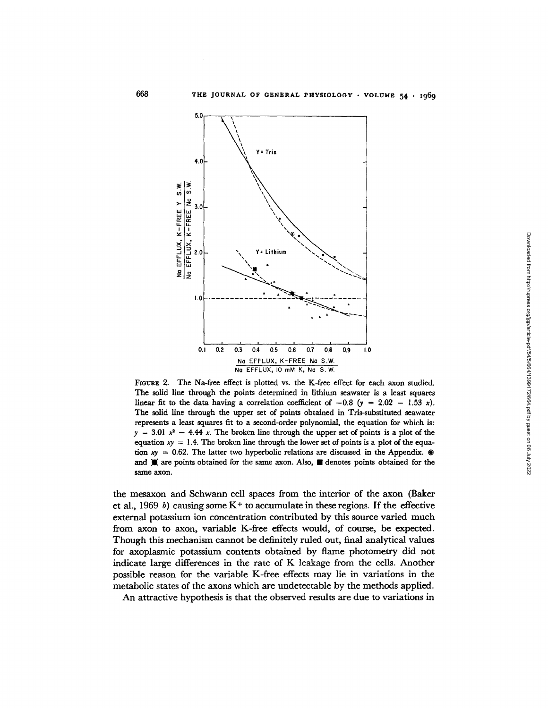

FIGURE 2. The Na-free effect is plotted vs. the K-free effect for each axon studied. The solid line through the points determined in lithium seawater is a least squares linear fit to the data having a correlation coefficient of  $-0.8$  ( $y = 2.02 - 1.53$  x). The solid line through the upper set of points obtained in Tris-substituted seawater represents a least squares fit to a second-order polynomial, the equation for which is:  $y = 3.01 x<sup>2</sup> - 4.44 x$ . The broken line through the upper set of points is a plot of the equation  $xy = 1.4$ . The broken line through the lower set of points is a plot of the equation  $xy = 0.62$ . The latter two hyperbolic relations are discussed in the Appendix.  $\odot$ and  $\blacktriangleright$  are points obtained for the same axon. Also,  $\blacksquare$  denotes points obtained for the same axon.

the mesaxon and Schwann cell spaces from the interior of the axon (Baker et al., 1969 b) causing some  $K<sup>+</sup>$  to accumulate in these regions. If the effective external potassium ion concentration contributed by this source varied much from axon to axon, variable K-free effects would, of course, be expected. Though this mechanism cannot be definitely ruled out, final analytical values for axoplasmic potassium contents obtained by flame photometry did not indicate large differences in the rate of K leakage from the cells. Another possible reason for the variable K-free effects may lie in variations in the metabolic states of the axons which are undetectable by the methods applied.

An attractive hypothesis is that the observed results are due to variations in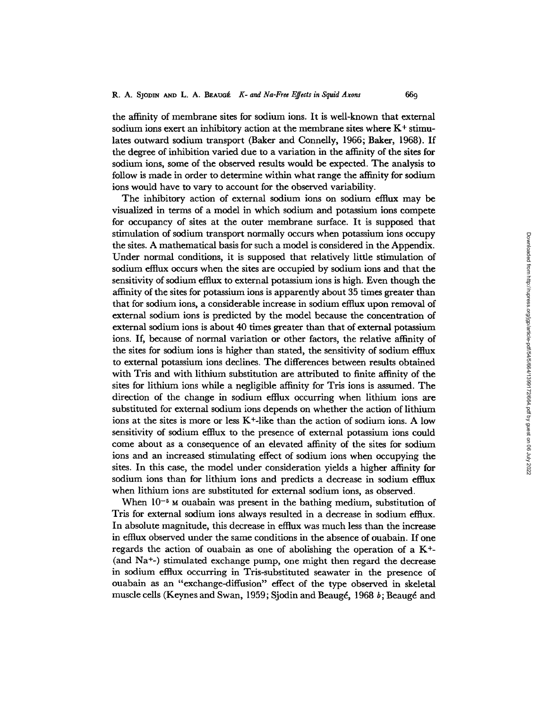the affinity of membrane sites for sodium ions. It is well-known that external sodium ions exert an inhibitory action at the membrane sites where K<sup>+</sup> stimulates outward sodium transport (Baker and Connelly, 1966; Baker, 1968). If the degree of inhibition varied due to a variation in the affinity of the sites for sodium ions, some of the observed results would be expected. The analysis to follow is made in order to determine within what range the affinity for sodium ions would have to vary to account for the observed variability.

The inhibitory action of external sodium ions on sodium effiux may be visualized in terms of a model in which sodium and potassium ions compete for occupancy of sites at the outer membrane surface. It is supposed that stimulation of sodium transport normally occurs when potassium ions occupy the sites. A mathematical basis for such a model is considered in the Appendix. Under normal conditions, it is supposed that relatively little stimulation of sodium efflux occurs when the sites are occupied by sodium ions and that the sensitivity of sodium efflux to external potassium ions is high. Even though the affinity of the sites for potassium ions is apparently about 35 times greater than that for sodium ions, a considerable increase in sodium efflux upon removal of external sodium ions is predicted by the model because the concentration of external sodium ions is about 40 times greater than that of external potassium ions. If, because of normal variation or other factors, the relative affinity of the sites for sodium ions is higher than stated, the sensitivity of sodium efflux to external potassium ions declines. The differences between results obtained with Tris and with lithium substitution are attributed to finite affinity of the sites for lithium ions while a negligible affinity for Tris ions is assumed. The direction of the change in sodium efflux occurring when lithium ions are substituted for external sodium ions depends on whether the action of lithium ions at the sites is more or less K+-like than the action of sodium ions. A low sensitivity of sodium efflux to the presence of external potassium ions could come about as a consequence of an elevated affinity of the sites for sodium ions and an increased stimulating effect of sodium ions when occupying the sites. In this case, the model under consideration yields a higher affinity for sodium ions than for lithium ions and predicts a decrease in sodium efflux when lithium ions are substituted for external sodium ions, as observed.

When  $10<sup>-5</sup>$  M ouabain was present in the bathing medium, substitution of Tris for external sodium ions always resulted in a decrease in sodium emux. In absolute magnitude, this decrease in efflux was much less than the increase in efflux observed under the same conditions in the absence of ouabain. If one regards the action of ouabain as one of abolishing the operation of a  $K<sup>+</sup>$ -(and  $Na<sup>+</sup>$ ) stimulated exchange pump, one might then regard the decrease in sodium efflux occurring in Tris-substituted seawater in the presence of ouabain as an "exchange-diffusion" effect of the type observed in skeletal muscle cells (Keynes and Swan, 1959; Sjodin and Beaugé, 1968 b; Beaugé and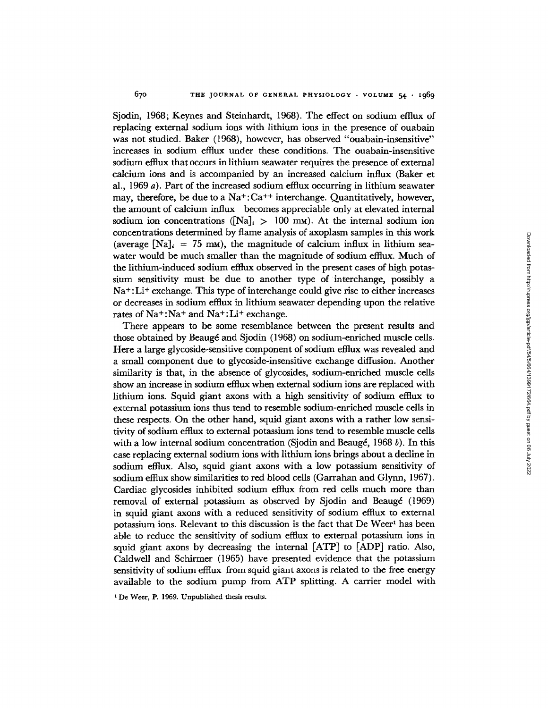Sjodin, 1968; Keynes and Steinhardt, 1968). The effect on sodium effiux of replacing external sodium ions with lithium ions in the presence of ouabain was not studied. Baker (1968), however, has observed "ouabain-insensitive" increases in sodium effiux under these conditions. The ouabain-insensitive sodium efflux that occurs in lithium seawater requires the presence of external calcium ions and is accompanied by an increased calcium influx (Baker et al., 1969 a). Part of the increased sodium efflux occurring in lithium seawater may, therefore, be due to a  $\text{Na}^{+}$ : Ca<sup>++</sup> interchange. Quantitatively, however, the amount of calcium influx becomes appreciable only at elevated internal sodium ion concentrations ([Na]<sub>i</sub> > 100 mm). At the internal sodium ion concentrations determined by flame analysis of axoplasm samples in this work (average [Na] $_{\rm i}$  = 75 mm), the magnitude of calcium influx in lithium seawater would be much smaller than the magnitude of sodium effiux. Much of the lithium-induced sodium efltux observed in the present cases of high potassium sensitivity must be due to another type of interchange, possibly a  $Na^{\dagger}$ : Li<sup> $\dagger$ </sup> exchange. This type of interchange could give rise to either increases or decreases in sodium efflux in lithium seawater depending upon the relative rates of  $Na^+$ :  $Na^+$  and  $Na^+$ : Li<sup>+</sup> exchange.

There appears to be some resemblance between the present results and those obtained by Beaugé and Sjodin (1968) on sodium-enriched muscle cells. Here a large glycoside-sensitive component of sodium effiux was revealed and a small component due to glycoside-insensitive exchange diffusion. Another similarity is that, in the absence of glycosides, sodium-enriched muscle cells show an increase in sodium effiux when external sodium ions are replaced with lithium ions. Squid giant axons with a high sensitivity of sodium effiux to external potassium ions thus tend to resemble sodium-enriched muscle cells in these respects. On the other hand, squid giant axons with a rather low sensitivity of sodium efflux to external potassium ions tend to resemble muscle cells with a low internal sodium concentration (Sjodin and Beaugé, 1968 b). In this ease replacing external sodium ions with lithium ions brings about a decline in sodium effiux. Also, squid giant axons with a low potassium sensitivity of sodium efflux show similarities to red blood cells (Garrahan and Glynn, 1967). Cardiac glycosides inhibited sodium efflux from red cells much more than removal of external potassium as observed by Sjodin and Beaugé (1969) in squid giant axons with a reduced sensitivity of sodium efflux to external potassium ions. Relevant to this discussion is the fact that De Weer<sup>1</sup> has been able to reduce the sensitivity of sodium effiux to external potassium ions in squid giant axons by decreasing the internal [ATP] to [ADP] ratio. Also, Caldwell and Schirmer (1965) have presented evidence that the potassium sensitivity of sodium effiux from squid giant axons is related to the free energy available to the sodium pump from ATP splitting. A carrier model with

1 De Weer, P. 1969. Unpublished thesis results.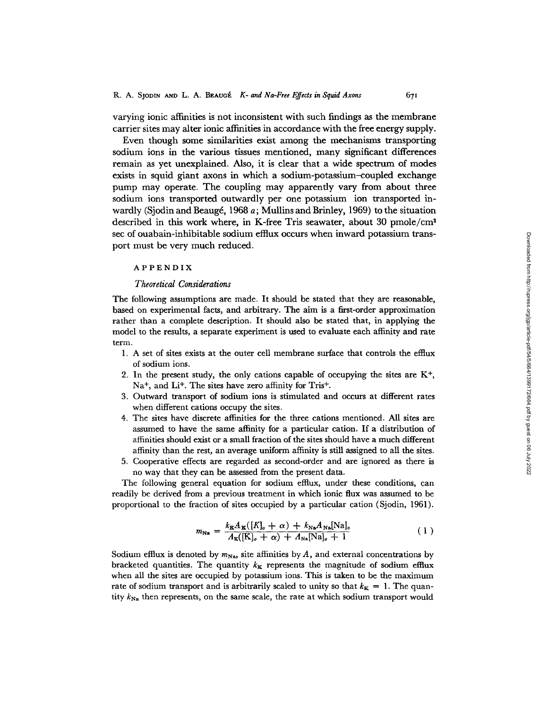varying ionic affinities is not inconsistent with such findings as the membrane carrier sites may alter ionic affinities in accordance with the free energy supply.

Even though some similarities exist among the mechanisms transporting sodium ions in the various tissues mentioned, many significant differences remain as yet unexplained. Also, it is clear that a wide spectrum of modes exists in squid giant axons in which a sodium-potassium-coupled exchange pump may operate. The coupling may apparently vary from about three sodium ions transported outwardly per one potassium ion transported inwardly (Sjodin and Beaugé, 1968 a; Mullins and Brinley, 1969) to the situation described in this work where, in K-free Tris seawater, about 30 pmole/cm<sup>2</sup> sec of ouabain-inhibitable sodium effiux occurs when inward potassium transport must be very much reduced.

# APPENDIX

#### *Theoretical Considerations*

The following assumptions are made. It should be stated that they are reasonable, based on experimental facts, and arbitrary. The aim is a first-order approximation rather than a complete description. It should also be stated that, in applying the model to the results, a separate experiment is used to evaluate each affinity and rate term.

- 1. A set of sites exists at the outer cell membrane surface that controls the efflux of sodium ions.
- 2. In the present study, the only cations capable of occupying the sites are  $K^+$ , Na<sup>+</sup>, and Li<sup>+</sup>. The sites have zero affinity for Tris<sup>+</sup>.
- 3. Outward transport of sodium ions is stimulated and occurs at different rates when different cations occupy the sites.
- 4. The sites have discrete affinities for the three cations mentioned. All sites are assumed to have the same affinity for a particular cation. If a distribution of affinities should exist or a small fraction of the sites should have a much different affinity than the rest, an average uniform affinity is still assigned to all the sites.
- 5. Cooperative effects are regarded as second-order and are ignored as there is no way that they can be assessed from the present data.

The following general equation for sodium efflux, under these conditions, can readily be derived from a previous treatment in which ionic flux was assumed to be proportional to the fraction of sites occupied by a particular cation (Sjodin, 1961).

$$
m_{\text{Na}} = \frac{k_{\text{K}}A_{\text{K}}([K]_{o} + \alpha) + k_{\text{Na}}A_{\text{Na}}[\text{Na}]_{o}}{A_{\text{K}}([\text{K}]_{o} + \alpha) + A_{\text{Na}}[\text{Na}]_{o} + 1}
$$
(1)

Sodium efflux is denoted by  $m_{\text{Na}}$ , site affinities by A, and external concentrations by bracketed quantities. The quantity  $k_{\mathbf{K}}$  represents the magnitude of sodium efflux when all the sites are occupied by potassium ions. This is taken to be the maximum rate of sodium transport and is arbitrarily scaled to unity so that  $k_{\rm K} = 1$ . The quantity  $k_{\text{Na}}$  then represents, on the same scale, the rate at which sodium transport would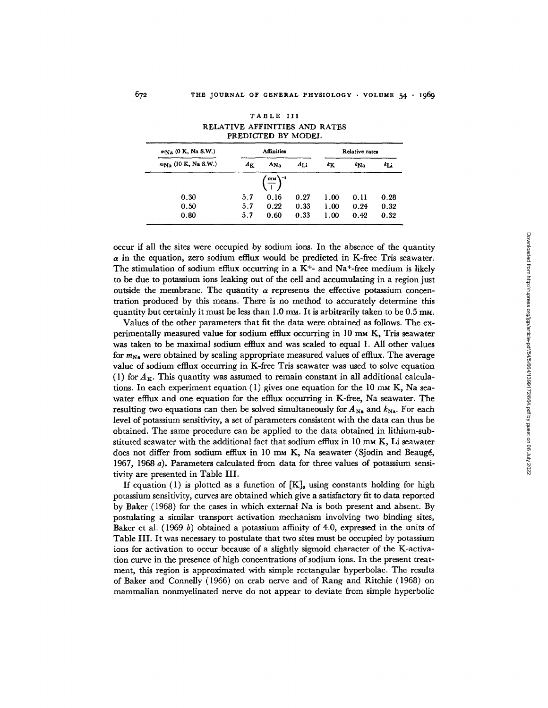| $m_{\text{Na}}$ (0 K, Na S.W.)  | Affinities  |                                  |              | Relative rates |              |              |
|---------------------------------|-------------|----------------------------------|--------------|----------------|--------------|--------------|
| $m_{\text{Na}}$ (10 K, Na S.W.) | $A_{\rm K}$ | $A_{Na}$                         | $A_{\rm Li}$ | $k_{\rm K}$    | $k_{\rm Na}$ | $k_{\rm Li}$ |
|                                 |             | $\left(\frac{mM}{l}\right)^{-1}$ |              |                |              |              |
|                                 |             |                                  |              |                |              |              |
| 0.30                            | 5.7         | 0.16                             | 0.27         | 1.00           | 0.11         | 0.28         |
| 0.50                            | 5.7         | 0.22                             | 0.33         | 1.00           | 0.24         | 0.32         |
| 0.80                            | 5.7         | 0.60                             | 0.33         | 1.00           | 0.42         | 0.32         |

TABLE III RELATIVE AFFINITIES AND RATES PREDICTED BY MODEL

occur if all the sites were occupied by sodium ions. In the absence of the quantity  $\alpha$  in the equation, zero sodium efflux would be predicted in K-free Tris seawater. The stimulation of sodium efflux occurring in a  $K<sup>+</sup>$ - and Na<sup>+</sup>-free medium is likely to be due to potassium ions leaking out of the cell and accumulating in a region just outside the membrane. The quantity  $\alpha$  represents the effective potassium concentration produced by this means. There is no method to accurately determine this quantity but certainly it must be less than  $1.0$  mm. It is arbitrarily taken to be  $0.5$  mm.

Values of the other parameters that fit the data were obtained as follows. The experimentally measured value for sodium efflux occurring in  $10 \text{ mM } K$ , Tris seawater was taken to be maximal sodium effiux and was scaled to equal 1. All other values for  $m_{\text{Na}}$  were obtained by scaling appropriate measured values of efflux. The average value of sodium efflux occurring in K-free Tris seawater was used to solve equation (1) for  $A_{\kappa}$ . This quantity was assumed to remain constant in all additional calculations. In each experiment equation  $(1)$  gives one equation for the 10 mm K, Na seawater efflux and one equation for the efflux occurring in K-free, Na seawater. The resulting two equations can then be solved simultaneously for  $A_{N_a}$  and  $k_{N_a}$ . For each level of potassium sensitivity, a set of parameters consistent with the data can thus be obtained. The same procedure can be applied to the data obtained in lithium-substituted seawater with the additional fact that sodium efflux in  $10 \text{ mm K}$ , Li seawater does not differ from sodium efflux in 10 mm K, Na seawater (Sjodin and Beaugé, 1967, 1968 a). Parameters calculated from data for three values of potassium sensitivity are presented in Table III.

If equation (1) is plotted as a function of  $[K]_o$  using constants holding for high potassium sensitivity, curves are obtained which give a satisfactory fit to data reported by Baker (1968) for the cases in which external Na is both present and absent. By postulating a similar transport activation mechanism involving two binding sites, Baker et al. (1969 b) obtained a potassium affinity of 4.0, expressed in the units of Table III. It was necessary to postulate that two sites must be occupied by potassium ions for activation to occur because of a slightly sigmoid character of the K-activation curve in the presence of high concentrations of sodium ions. In the present treatment, this region is approximated with simple rectangular hyperbolae. The results of Baker and Connelly (1966) on crab nerve and of Rang and Ritchie (1968) on mammalian nonmyelinated nerve do not appear to deviate from simple hyperbolic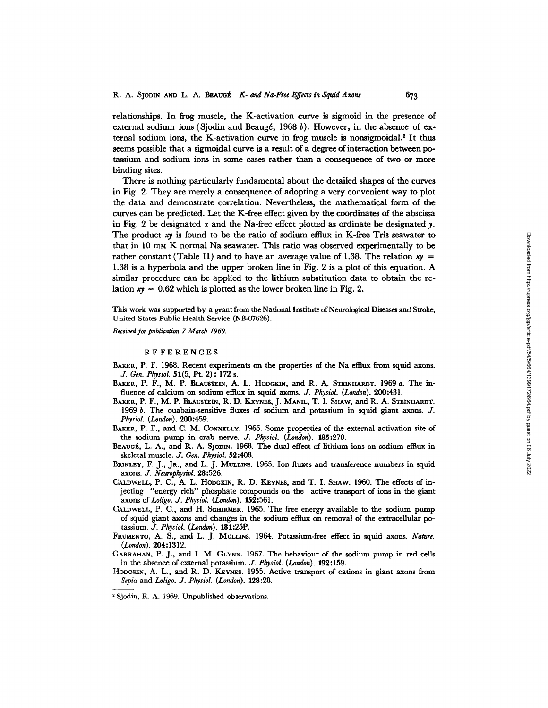relationships. In frog muscle, the K-activation curve is sigmoid in the presence of external sodium ions (Sjodin and Beaugé, 1968 b). However, in the absence of external sodium ions, the K-activation curve in frog muscle is nonsigmoidal.<sup>2</sup> It thus seems possible that a sigmoidal curve is a result of a degree of interaction between potassium and sodium ions in some cases rather than a consequence of two or more binding sites.

There is nothing particularly fundamental about the detailed shapes of the curves in Fig. 2. They are merely a consequence of adopting a very convenient way to plot the data and demonstrate correlation. Nevertheless, the mathematical form of the curves can be predicted. Let the K-free effect given by the coordinates of the abscissa in Fig. 2 be designated x and the Na-free effect plotted as ordinate be designated  $\gamma$ . The product  $xy$  is found to be the ratio of sodium efflux in K-free Tris seawater to that in 10 mm K normal Na seawater. This ratio was observed experimentally to be rather constant (Table II) and to have an average value of 1.38. The relation  $xy =$ 1.38 is a hyperbola and the upper broken line in Fig. 2 is a plot of this equation. A similar procedure can be applied to the lithium substitution data to obtain the relation  $xy = 0.62$  which is plotted as the lower broken line in Fig. 2.

This work was supported by a grant from the National Institute of Neurological Diseases and Stroke, United States Public Health Service (NB-07626).

*Received Jor publication 7 March 1969.* 

#### REFERENCES

- BAKER, P. F. 1968. Recent experiments on the properties of the Na efflux from squid axons. *J. Gen. Physiol.* 51(5, Pt. 2): 172 s.
- BAKER, P. F., M. P. BLAUSTEIN, A. L. HODGKIN, and R. A. STEINHARDT. 1969 a. The influence of calcium on sodium efflux in squid *axons. J. Physiol. (London).* 200:431.
- BAKER, P. F., M. P. BLAUSTEIN, R. D. KEYNES, J. MANIL, T. I. SHAW, and R. A. STEINHARDT. 1969 b. The ouabain-sensitive fluxes of sodium and potassium in squid giant axons.  $J$ . *Physiol. (London).* 200:459.
- BAKER, P. F., and C. M. CONNELLY. 1966. Some properties of the external activation site of the sodium pump in crab nerve. *J. Physiol. (London).* 185:270.
- BEAUGÉ, L. A., and R. A. SJODIN. 1968. The dual effect of lithium ions on sodium efflux in skeletal muscle. *J. Gen. Physiol.* 52:408.
- BRINLEY, F. J., JR., and L. J. MULLINS. 1965. Ion fluxes and transference numbers in squid axons. *J. Neurophysiol.* 28:526.
- CALDWELL, P. C., A. L. HODGKIN, R. D. KEYNES, and T. I. SHAW. 1960. The effects of injecting "energy rich" phosphate compounds on the active transport of ions in the giant axons of *Loligo. J. Physiol. (London).* 152:561.
- CALDWELL, P. C., and H. SCHIRMER. 1965. The free energy available to the sodium pump of squid giant axons and changes in the sodium efflux on removal of the extracellular potassium. *J. Physiol. (London).* 151:25P.
- FRUMENTO, A. S., and L. J. MULLINS. 1964. Potassium-free effect in squid axons. Nature. *(London).* 204:1312.
- GARRAHAN, P. J., and I. M. GLYNN. 1967. The behaviour of the sodium pump in red cells in the absence of external potassium. *J. Physiol. (London).* 192:159.
- HODGKIN, A. L., and R. D. KEYNES. 1955. Active transport of cations in giant axons from *Sepia* and *Loligo. J. Physiol. (London).* 128:28.

2 Sjodin, R. A. 1969. Unpublished observations.